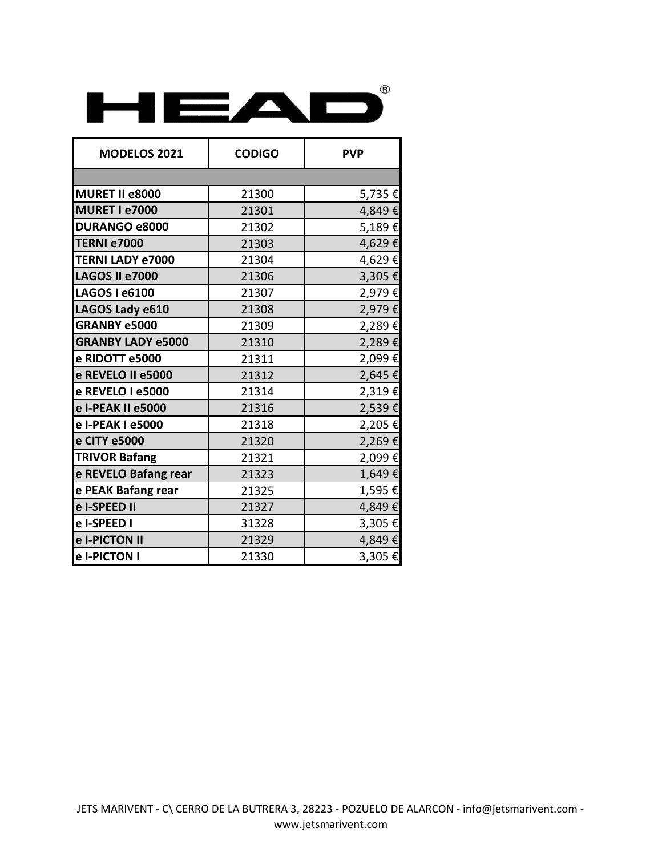

| <b>MODELOS 2021</b>      | <b>CODIGO</b> | <b>PVP</b> |
|--------------------------|---------------|------------|
|                          |               |            |
| MURET II e8000           | 21300         | 5,735€     |
| MURET I e7000            | 21301         | 4,849€     |
| <b>DURANGO e8000</b>     | 21302         | 5,189€     |
| <b>TERNI e7000</b>       | 21303         | 4,629€     |
| <b>TERNI LADY e7000</b>  | 21304         | 4,629€     |
| LAGOS II e7000           | 21306         | 3,305€     |
| <b>LAGOS I e6100</b>     | 21307         | 2,979€     |
| LAGOS Lady e610          | 21308         | 2,979€     |
| <b>GRANBY e5000</b>      | 21309         | 2,289€     |
| <b>GRANBY LADY e5000</b> | 21310         | 2,289€     |
| e RIDOTT e5000           | 21311         | 2,099€     |
| e REVELO II e5000        | 21312         | 2,645€     |
| e REVELO I e5000         | 21314         | 2,319€     |
| e I-PEAK II e5000        | 21316         | 2,539€     |
| e I-PEAK I e5000         | 21318         | 2,205€     |
| e CITY e5000             | 21320         | 2,269€     |
| <b>TRIVOR Bafang</b>     | 21321         | 2,099€     |
| e REVELO Bafang rear     | 21323         | 1,649€     |
| e PEAK Bafang rear       | 21325         | 1,595€     |
| e I-SPEED II             | 21327         | 4,849€     |
| e I-SPEED I              | 31328         | 3,305€     |
| e I-PICTON II            | 21329         | 4,849€     |
| e I-PICTON I             | 21330         | 3,305€     |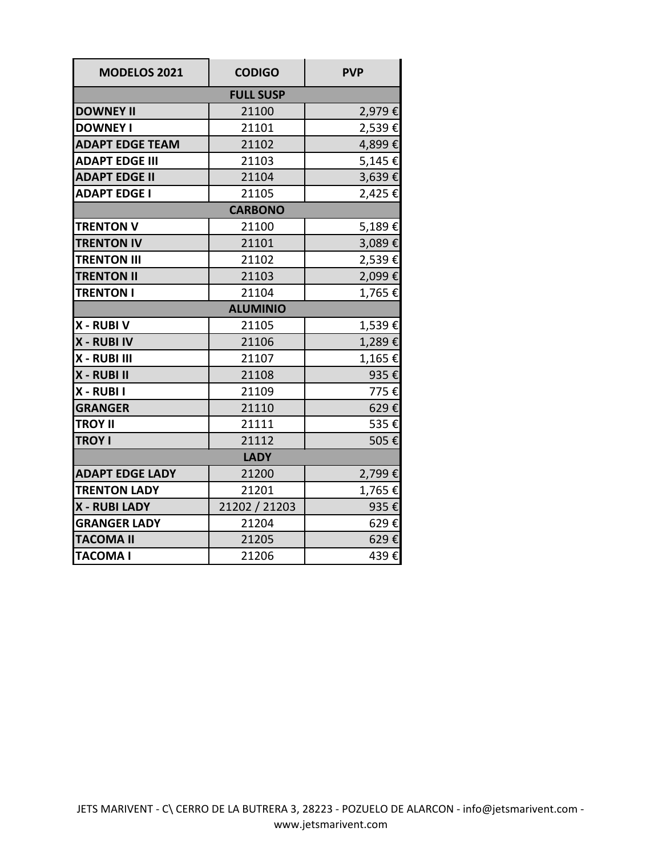| <b>MODELOS 2021</b>    | <b>CODIGO</b> | <b>PVP</b> |  |  |
|------------------------|---------------|------------|--|--|
| <b>FULL SUSP</b>       |               |            |  |  |
| <b>DOWNEY II</b>       | 21100         | 2,979€     |  |  |
| <b>DOWNEY I</b>        | 21101         | 2,539€     |  |  |
| <b>ADAPT EDGE TEAM</b> | 21102         | 4,899€     |  |  |
| <b>ADAPT EDGE III</b>  | 21103         | 5,145€     |  |  |
| <b>ADAPT EDGE II</b>   | 21104         | 3,639€     |  |  |
| <b>ADAPT EDGE I</b>    | 21105         | 2,425€     |  |  |
| <b>CARBONO</b>         |               |            |  |  |
| <b>TRENTON V</b>       | 21100         | 5,189€     |  |  |
| <b>TRENTON IV</b>      | 21101         | 3,089€     |  |  |
| <b>TRENTON III</b>     | 21102         | 2,539€     |  |  |
| <b>TRENTON II</b>      | 21103         | 2,099€     |  |  |
| <b>TRENTON I</b>       | 21104         | 1,765€     |  |  |
| <b>ALUMINIO</b>        |               |            |  |  |
| X - RUBI V             | 21105         | 1,539€     |  |  |
| <b>X - RUBI IV</b>     | 21106         | 1,289€     |  |  |
| X - RUBI III           | 21107         | 1,165€     |  |  |
| X - RUBI II            | 21108         | 935€       |  |  |
| X - RUBI I             | 21109         | 775€       |  |  |
| <b>GRANGER</b>         | 21110         | 629€       |  |  |
| <b>TROY II</b>         | 21111         | 535€       |  |  |
| <b>TROY I</b>          | 21112         | 505€       |  |  |
| <b>LADY</b>            |               |            |  |  |
| <b>ADAPT EDGE LADY</b> | 21200         | 2,799€     |  |  |
| <b>TRENTON LADY</b>    | 21201         | 1,765€     |  |  |
| <b>X - RUBI LADY</b>   | 21202 / 21203 | 935€       |  |  |
| <b>GRANGER LADY</b>    | 21204         | 629€       |  |  |
| <b>TACOMA II</b>       | 21205         | 629€       |  |  |
| <b>TACOMA I</b>        | 21206         | 439€       |  |  |